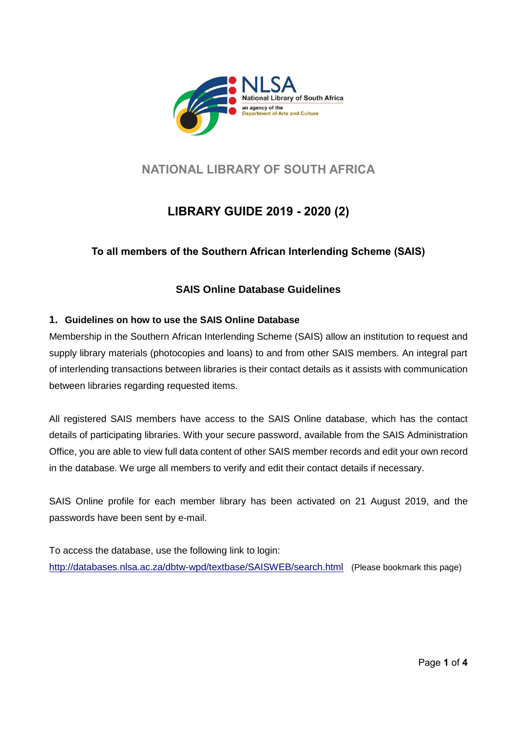

# **NATIONAL LIBRARY OF SOUTH AFRICA**

# **LIBRARY GUIDE 2019 - 2020 (2)**

**To all members of the Southern African Interlending Scheme (SAIS)**

## **SAIS Online Database Guidelines**

## **1. Guidelines on how to use the SAIS Online Database**

Membership in the Southern African Interlending Scheme (SAIS) allow an institution to request and supply library materials (photocopies and loans) to and from other SAIS members. An integral part of interlending transactions between libraries is their contact details as it assists with communication between libraries regarding requested items.

All registered SAIS members have access to the SAIS Online database, which has the contact details of participating libraries. With your secure password, available from the SAIS Administration Office, you are able to view full data content of other SAIS member records and edit your own record in the database. We urge all members to verify and edit their contact details if necessary.

SAIS Online profile for each member library has been activated on 21 August 2019, and the passwords have been sent by e-mail.

To access the database, use the following link to login: <http://databases.nlsa.ac.za/dbtw-wpd/textbase/SAISWEB/search.html>(Please bookmark this page)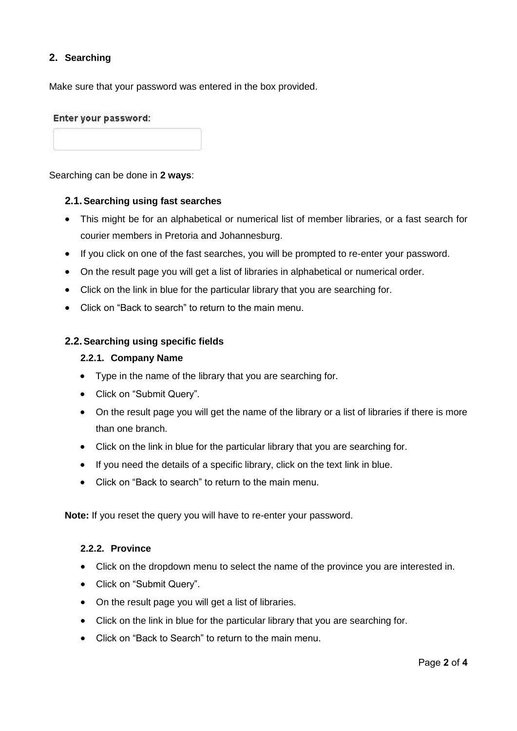## **2. Searching**

Make sure that your password was entered in the box provided.

#### Enter your password:

Searching can be done in **2 ways**:

#### **2.1.Searching using fast searches**

- This might be for an alphabetical or numerical list of member libraries, or a fast search for courier members in Pretoria and Johannesburg.
- If you click on one of the fast searches, you will be prompted to re-enter your password.
- On the result page you will get a list of libraries in alphabetical or numerical order.
- Click on the link in blue for the particular library that you are searching for.
- Click on "Back to search" to return to the main menu.

#### **2.2.Searching using specific fields**

#### **2.2.1. Company Name**

- Type in the name of the library that you are searching for.
- Click on "Submit Query".
- On the result page you will get the name of the library or a list of libraries if there is more than one branch.
- Click on the link in blue for the particular library that you are searching for.
- If you need the details of a specific library, click on the text link in blue.
- Click on "Back to search" to return to the main menu.

**Note:** If you reset the query you will have to re-enter your password.

#### **2.2.2. Province**

- Click on the dropdown menu to select the name of the province you are interested in.
- Click on "Submit Query".
- On the result page you will get a list of libraries.
- Click on the link in blue for the particular library that you are searching for.
- Click on "Back to Search" to return to the main menu.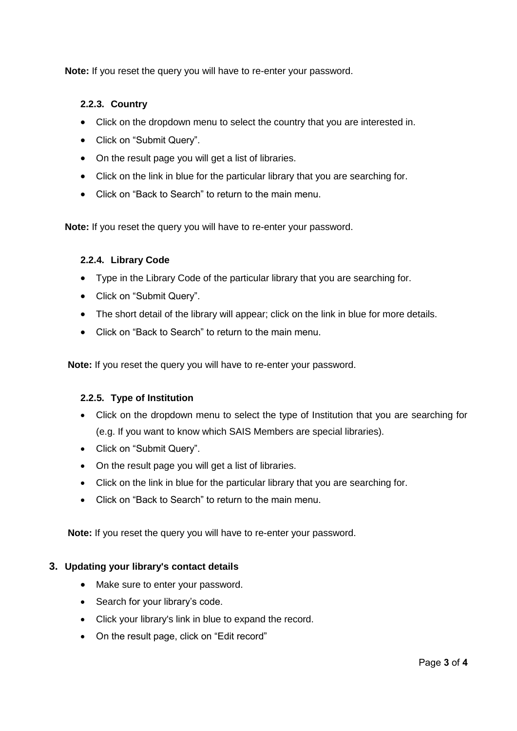**Note:** If you reset the query you will have to re-enter your password.

### **2.2.3. Country**

- Click on the dropdown menu to select the country that you are interested in.
- Click on "Submit Query".
- On the result page you will get a list of libraries.
- Click on the link in blue for the particular library that you are searching for.
- Click on "Back to Search" to return to the main menu.

**Note:** If you reset the query you will have to re-enter your password.

#### **2.2.4. Library Code**

- Type in the Library Code of the particular library that you are searching for.
- Click on "Submit Query".
- The short detail of the library will appear; click on the link in blue for more details.
- Click on "Back to Search" to return to the main menu.

**Note:** If you reset the query you will have to re-enter your password.

#### **2.2.5. Type of Institution**

- Click on the dropdown menu to select the type of Institution that you are searching for (e.g. If you want to know which SAIS Members are special libraries).
- Click on "Submit Query".
- On the result page you will get a list of libraries.
- Click on the link in blue for the particular library that you are searching for.
- Click on "Back to Search" to return to the main menu.

**Note:** If you reset the query you will have to re-enter your password.

#### **3. Updating your library's contact details**

- Make sure to enter your password.
- Search for your library's code.
- Click your library's link in blue to expand the record.
- On the result page, click on "Edit record"